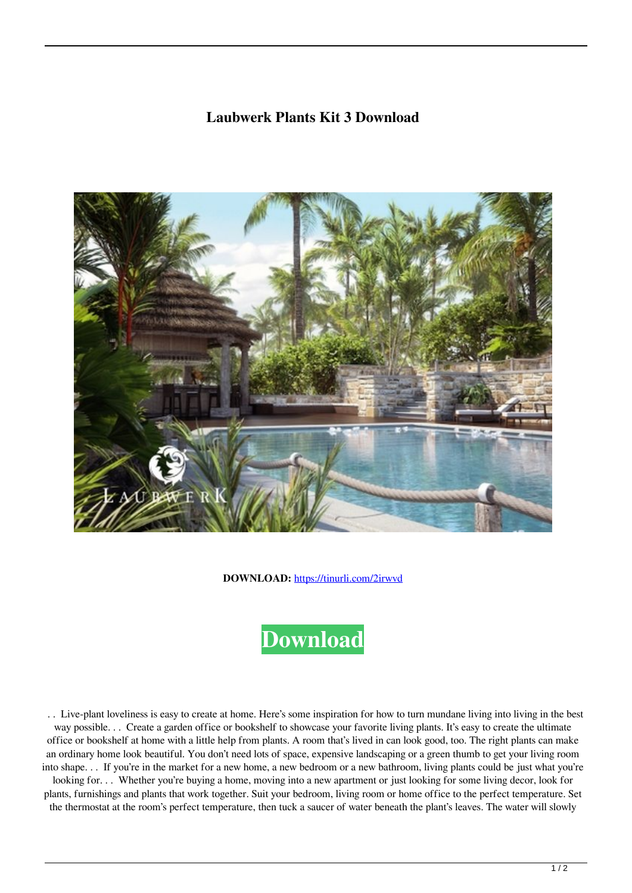## **Laubwerk Plants Kit 3 Download**



**DOWNLOAD:** <https://tinurli.com/2irwvd>



 . . Live-plant loveliness is easy to create at home. Here's some inspiration for how to turn mundane living into living in the best way possible. . . Create a garden office or bookshelf to showcase your favorite living plants. It's easy to create the ultimate office or bookshelf at home with a little help from plants. A room that's lived in can look good, too. The right plants can make an ordinary home look beautiful. You don't need lots of space, expensive landscaping or a green thumb to get your living room into shape. . . If you're in the market for a new home, a new bedroom or a new bathroom, living plants could be just what you're looking for... Whether you're buying a home, moving into a new apartment or just looking for some living decor, look for plants, furnishings and plants that work together. Suit your bedroom, living room or home office to the perfect temperature. Set the thermostat at the room's perfect temperature, then tuck a saucer of water beneath the plant's leaves. The water will slowly